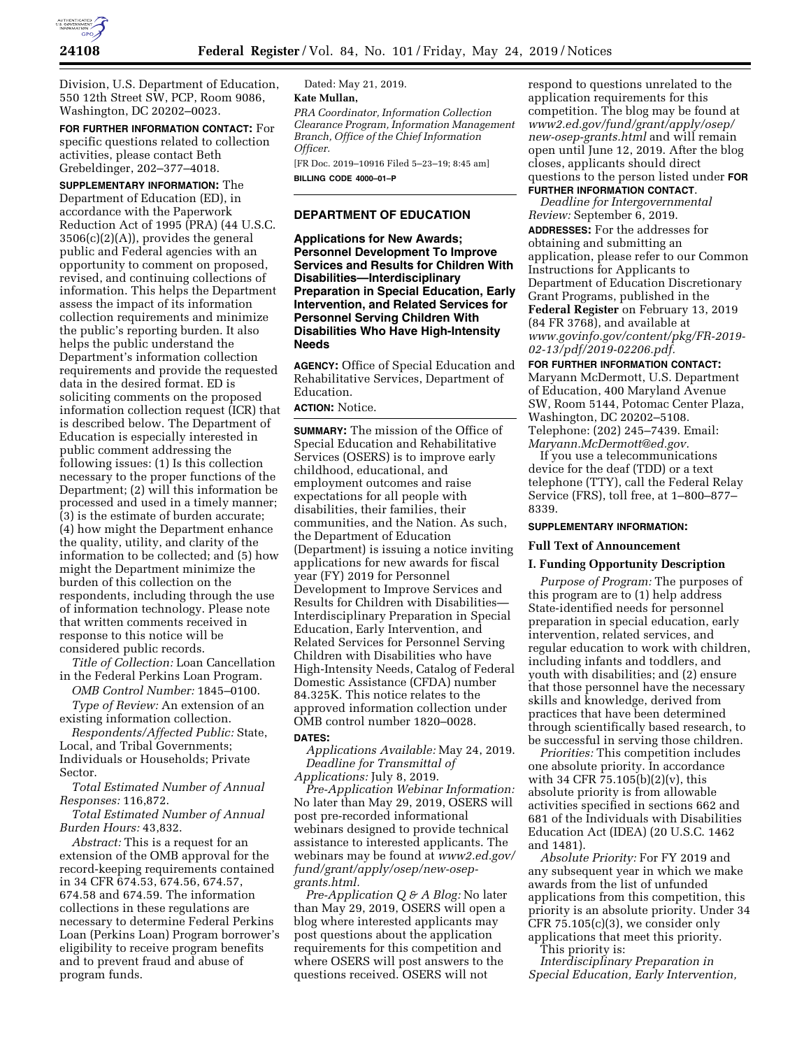

Division, U.S. Department of Education, 550 12th Street SW, PCP, Room 9086, Washington, DC 20202–0023.

**FOR FURTHER INFORMATION CONTACT:** For specific questions related to collection activities, please contact Beth Grebeldinger, 202–377–4018.

**SUPPLEMENTARY INFORMATION:** The Department of Education (ED), in accordance with the Paperwork Reduction Act of 1995 (PRA) (44 U.S.C. 3506(c)(2)(A)), provides the general public and Federal agencies with an opportunity to comment on proposed, revised, and continuing collections of information. This helps the Department assess the impact of its information collection requirements and minimize the public's reporting burden. It also helps the public understand the Department's information collection requirements and provide the requested data in the desired format. ED is soliciting comments on the proposed information collection request (ICR) that is described below. The Department of Education is especially interested in public comment addressing the following issues: (1) Is this collection necessary to the proper functions of the Department; (2) will this information be processed and used in a timely manner; (3) is the estimate of burden accurate; (4) how might the Department enhance the quality, utility, and clarity of the information to be collected; and (5) how might the Department minimize the burden of this collection on the respondents, including through the use of information technology. Please note that written comments received in response to this notice will be considered public records.

*Title of Collection:* Loan Cancellation in the Federal Perkins Loan Program.

*OMB Control Number:* 1845–0100. *Type of Review:* An extension of an

existing information collection.

*Respondents/Affected Public:* State, Local, and Tribal Governments; Individuals or Households; Private Sector.

*Total Estimated Number of Annual Responses:* 116,872.

*Total Estimated Number of Annual Burden Hours:* 43,832.

*Abstract:* This is a request for an extension of the OMB approval for the record-keeping requirements contained in 34 CFR 674.53, 674.56, 674.57, 674.58 and 674.59. The information collections in these regulations are necessary to determine Federal Perkins Loan (Perkins Loan) Program borrower's eligibility to receive program benefits and to prevent fraud and abuse of program funds.

Dated: May 21, 2019. **Kate Mullan,**  *PRA Coordinator, Information Collection Clearance Program, Information Management Branch, Office of the Chief Information Officer.* 

[FR Doc. 2019–10916 Filed 5–23–19; 8:45 am] **BILLING CODE 4000–01–P** 

# **DEPARTMENT OF EDUCATION**

**Applications for New Awards; Personnel Development To Improve Services and Results for Children With Disabilities—Interdisciplinary Preparation in Special Education, Early Intervention, and Related Services for Personnel Serving Children With Disabilities Who Have High-Intensity Needs** 

**AGENCY:** Office of Special Education and Rehabilitative Services, Department of Education.

# **ACTION:** Notice.

**SUMMARY:** The mission of the Office of Special Education and Rehabilitative Services (OSERS) is to improve early childhood, educational, and employment outcomes and raise expectations for all people with disabilities, their families, their communities, and the Nation. As such, the Department of Education (Department) is issuing a notice inviting applications for new awards for fiscal year (FY) 2019 for Personnel Development to Improve Services and Results for Children with Disabilities— Interdisciplinary Preparation in Special Education, Early Intervention, and Related Services for Personnel Serving Children with Disabilities who have High-Intensity Needs, Catalog of Federal Domestic Assistance (CFDA) number 84.325K. This notice relates to the approved information collection under OMB control number 1820–0028. **DATES:** 

*Applications Available:* May 24, 2019. *Deadline for Transmittal of Applications:* July 8, 2019.

*Pre-Application Webinar Information:*  No later than May 29, 2019, OSERS will post pre-recorded informational webinars designed to provide technical assistance to interested applicants. The webinars may be found at *[www2.ed.gov/](http://www2.ed.gov/fund/grant/apply/osep/new-osep-grants.html)  [fund/grant/apply/osep/new-osep](http://www2.ed.gov/fund/grant/apply/osep/new-osep-grants.html)[grants.html.](http://www2.ed.gov/fund/grant/apply/osep/new-osep-grants.html)* 

*Pre-Application Q & A Blog:* No later than May 29, 2019, OSERS will open a blog where interested applicants may post questions about the application requirements for this competition and where OSERS will post answers to the questions received. OSERS will not

respond to questions unrelated to the application requirements for this competition. The blog may be found at *[www2.ed.gov/fund/grant/apply/osep/](http://www2.ed.gov/fund/grant/apply/osep/new-osep-grants.html)  [new-osep-grants.html](http://www2.ed.gov/fund/grant/apply/osep/new-osep-grants.html)* and will remain open until June 12, 2019. After the blog closes, applicants should direct questions to the person listed under **FOR FURTHER INFORMATION CONTACT**.

# *Deadline for Intergovernmental*

*Review:* September 6, 2019. **ADDRESSES:** For the addresses for obtaining and submitting an application, please refer to our Common Instructions for Applicants to Department of Education Discretionary Grant Programs, published in the **Federal Register** on February 13, 2019 (84 FR 3768), and available at *[www.govinfo.gov/content/pkg/FR-2019-](http://www.govinfo.gov/content/pkg/FR-2019-02-13/pdf/2019-02206.pdf) [02-13/pdf/2019-02206.pdf.](http://www.govinfo.gov/content/pkg/FR-2019-02-13/pdf/2019-02206.pdf)* 

# **FOR FURTHER INFORMATION CONTACT:**

Maryann McDermott, U.S. Department of Education, 400 Maryland Avenue SW, Room 5144, Potomac Center Plaza, Washington, DC 20202–5108. Telephone: (202) 245–7439. Email: *[Maryann.McDermott@ed.gov.](mailto:Maryann.McDermott@ed.gov)* 

If you use a telecommunications device for the deaf (TDD) or a text telephone (TTY), call the Federal Relay Service (FRS), toll free, at 1–800–877– 8339.

#### **SUPPLEMENTARY INFORMATION:**

#### **Full Text of Announcement**

#### **I. Funding Opportunity Description**

*Purpose of Program:* The purposes of this program are to (1) help address State-identified needs for personnel preparation in special education, early intervention, related services, and regular education to work with children, including infants and toddlers, and youth with disabilities; and (2) ensure that those personnel have the necessary skills and knowledge, derived from practices that have been determined through scientifically based research, to be successful in serving those children.

*Priorities:* This competition includes one absolute priority. In accordance with 34 CFR 75.105(b)(2)(v), this absolute priority is from allowable activities specified in sections 662 and 681 of the Individuals with Disabilities Education Act (IDEA) (20 U.S.C. 1462 and 1481).

*Absolute Priority:* For FY 2019 and any subsequent year in which we make awards from the list of unfunded applications from this competition, this priority is an absolute priority. Under 34 CFR 75.105(c)(3), we consider only applications that meet this priority.

This priority is:

*Interdisciplinary Preparation in Special Education, Early Intervention,*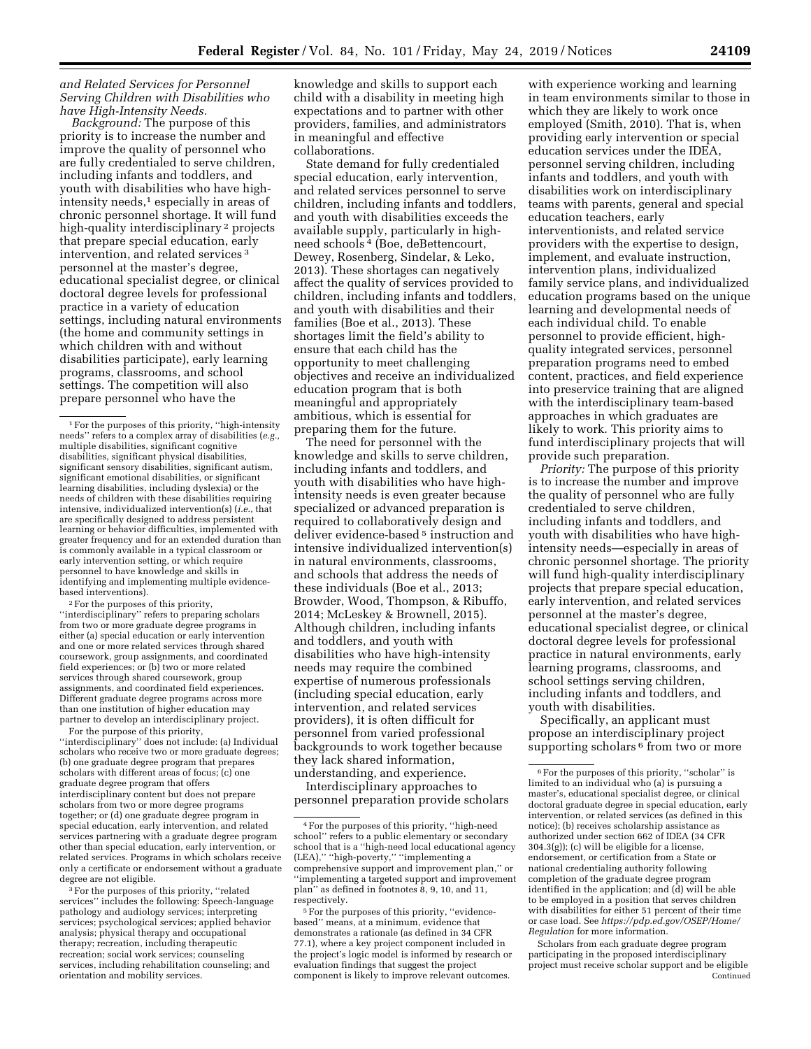*and Related Services for Personnel Serving Children with Disabilities who have High-Intensity Needs.* 

*Background:* The purpose of this priority is to increase the number and improve the quality of personnel who are fully credentialed to serve children, including infants and toddlers, and youth with disabilities who have highintensity needs,<sup>1</sup> especially in areas of chronic personnel shortage. It will fund high-quality interdisciplinary 2 projects that prepare special education, early intervention, and related services 3 personnel at the master's degree, educational specialist degree, or clinical doctoral degree levels for professional practice in a variety of education settings, including natural environments (the home and community settings in which children with and without disabilities participate), early learning programs, classrooms, and school settings. The competition will also prepare personnel who have the

2For the purposes of this priority, ''interdisciplinary'' refers to preparing scholars from two or more graduate degree programs in either (a) special education or early intervention and one or more related services through shared coursework, group assignments, and coordinated field experiences; or (b) two or more related services through shared coursework, group assignments, and coordinated field experiences. Different graduate degree programs across more than one institution of higher education may partner to develop an interdisciplinary project. For the purpose of this priority,

''interdisciplinary'' does not include: (a) Individual scholars who receive two or more graduate degrees; (b) one graduate degree program that prepares scholars with different areas of focus; (c) one graduate degree program that offers interdisciplinary content but does not prepare scholars from two or more degree programs together; or (d) one graduate degree program in special education, early intervention, and related services partnering with a graduate degree program other than special education, early intervention, or related services. Programs in which scholars receive only a certificate or endorsement without a graduate degree are not eligible.

3For the purposes of this priority, ''related services'' includes the following: Speech-language pathology and audiology services; interpreting services; psychological services; applied behavior analysis; physical therapy and occupational therapy; recreation, including therapeutic recreation; social work services; counseling services, including rehabilitation counseling; and orientation and mobility services.

knowledge and skills to support each child with a disability in meeting high expectations and to partner with other providers, families, and administrators in meaningful and effective collaborations.

State demand for fully credentialed special education, early intervention, and related services personnel to serve children, including infants and toddlers, and youth with disabilities exceeds the available supply, particularly in highneed schools 4 (Boe, deBettencourt, Dewey, Rosenberg, Sindelar, & Leko, 2013). These shortages can negatively affect the quality of services provided to children, including infants and toddlers, and youth with disabilities and their families (Boe et al., 2013). These shortages limit the field's ability to ensure that each child has the opportunity to meet challenging objectives and receive an individualized education program that is both meaningful and appropriately ambitious, which is essential for preparing them for the future.

The need for personnel with the knowledge and skills to serve children, including infants and toddlers, and youth with disabilities who have highintensity needs is even greater because specialized or advanced preparation is required to collaboratively design and deliver evidence-based 5 instruction and intensive individualized intervention(s) in natural environments, classrooms, and schools that address the needs of these individuals (Boe et al., 2013; Browder, Wood, Thompson, & Ribuffo, 2014; McLeskey & Brownell, 2015). Although children, including infants and toddlers, and youth with disabilities who have high-intensity needs may require the combined expertise of numerous professionals (including special education, early intervention, and related services providers), it is often difficult for personnel from varied professional backgrounds to work together because they lack shared information, understanding, and experience.

Interdisciplinary approaches to personnel preparation provide scholars

with experience working and learning in team environments similar to those in which they are likely to work once employed (Smith, 2010). That is, when providing early intervention or special education services under the IDEA, personnel serving children, including infants and toddlers, and youth with disabilities work on interdisciplinary teams with parents, general and special education teachers, early interventionists, and related service providers with the expertise to design, implement, and evaluate instruction, intervention plans, individualized family service plans, and individualized education programs based on the unique learning and developmental needs of each individual child. To enable personnel to provide efficient, highquality integrated services, personnel preparation programs need to embed content, practices, and field experience into preservice training that are aligned with the interdisciplinary team-based approaches in which graduates are likely to work. This priority aims to fund interdisciplinary projects that will provide such preparation.

*Priority:* The purpose of this priority is to increase the number and improve the quality of personnel who are fully credentialed to serve children, including infants and toddlers, and youth with disabilities who have highintensity needs—especially in areas of chronic personnel shortage. The priority will fund high-quality interdisciplinary projects that prepare special education, early intervention, and related services personnel at the master's degree, educational specialist degree, or clinical doctoral degree levels for professional practice in natural environments, early learning programs, classrooms, and school settings serving children, including infants and toddlers, and youth with disabilities.

Specifically, an applicant must propose an interdisciplinary project supporting scholars <sup>6</sup> from two or more

Scholars from each graduate degree program participating in the proposed interdisciplinary project must receive scholar support and be eligible Continued

<sup>1</sup>For the purposes of this priority, ''high-intensity needs'' refers to a complex array of disabilities (*e.g.,*  multiple disabilities, significant cognitive disabilities, significant physical disabilities, significant sensory disabilities, significant autism, significant emotional disabilities, or significant learning disabilities, including dyslexia) or the needs of children with these disabilities requiring intensive, individualized intervention(s) (*i.e.,* that are specifically designed to address persistent learning or behavior difficulties, implemented with greater frequency and for an extended duration than is commonly available in a typical classroom or early intervention setting, or which require personnel to have knowledge and skills in identifying and implementing multiple evidencebased interventions).

<sup>4</sup>For the purposes of this priority, ''high-need school" refers to a public elementary or secondary school that is a ''high-need local educational agency (LEA),'' ''high-poverty,'' ''implementing a comprehensive support and improvement plan,'' or ''implementing a targeted support and improvement plan'' as defined in footnotes 8, 9, 10, and 11, respectively.

<sup>5</sup>For the purposes of this priority, ''evidencebased'' means, at a minimum, evidence that demonstrates a rationale (as defined in 34 CFR 77.1), where a key project component included in the project's logic model is informed by research or evaluation findings that suggest the project component is likely to improve relevant outcomes.

<sup>6</sup>For the purposes of this priority, ''scholar'' is limited to an individual who (a) is pursuing a master's, educational specialist degree, or clinical doctoral graduate degree in special education, early intervention, or related services (as defined in this notice); (b) receives scholarship assistance as authorized under section 662 of IDEA (34 CFR 304.3(g)); (c) will be eligible for a license, endorsement, or certification from a State or national credentialing authority following completion of the graduate degree program identified in the application; and (d) will be able to be employed in a position that serves children with disabilities for either 51 percent of their time or case load. See *[https://pdp.ed.gov/OSEP/Home/](https://pdp.ed.gov/OSEP/Home/Regulation)  [Regulation](https://pdp.ed.gov/OSEP/Home/Regulation)* for more information.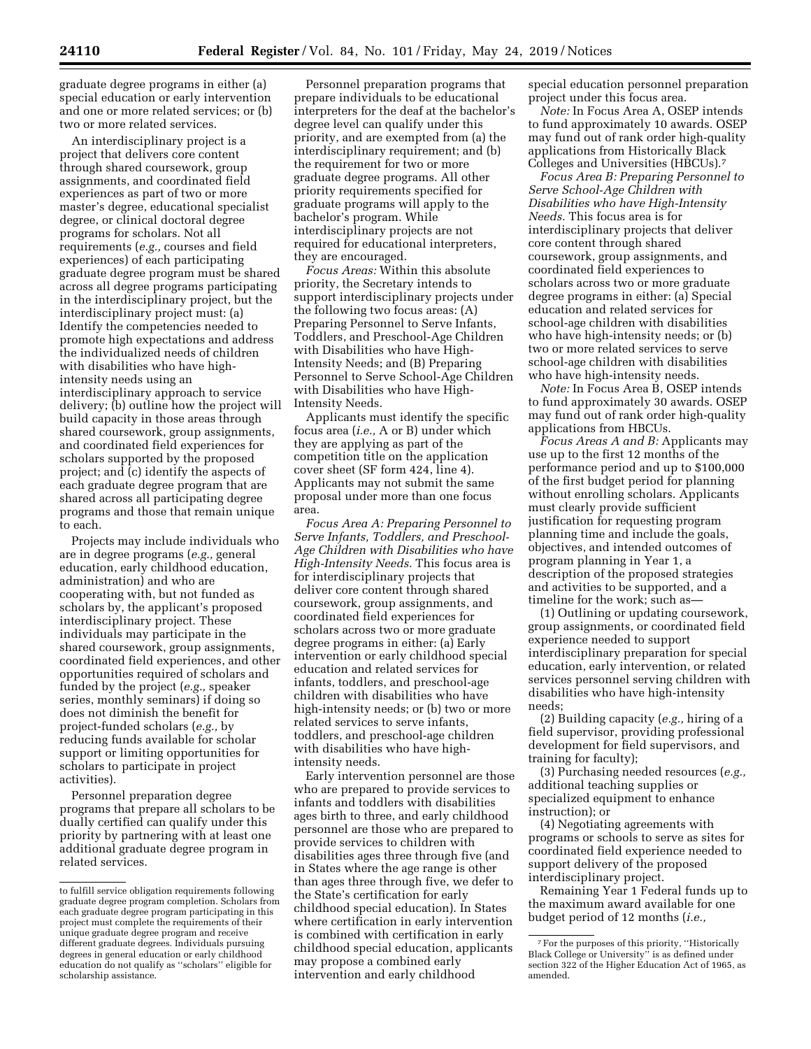graduate degree programs in either (a) special education or early intervention and one or more related services; or (b) two or more related services.

An interdisciplinary project is a project that delivers core content through shared coursework, group assignments, and coordinated field experiences as part of two or more master's degree, educational specialist degree, or clinical doctoral degree programs for scholars. Not all requirements (*e.g.,* courses and field experiences) of each participating graduate degree program must be shared across all degree programs participating in the interdisciplinary project, but the interdisciplinary project must: (a) Identify the competencies needed to promote high expectations and address the individualized needs of children with disabilities who have highintensity needs using an interdisciplinary approach to service delivery; (b) outline how the project will build capacity in those areas through shared coursework, group assignments, and coordinated field experiences for scholars supported by the proposed project; and (c) identify the aspects of each graduate degree program that are shared across all participating degree programs and those that remain unique to each.

Projects may include individuals who are in degree programs (*e.g.,* general education, early childhood education, administration) and who are cooperating with, but not funded as scholars by, the applicant's proposed interdisciplinary project. These individuals may participate in the shared coursework, group assignments, coordinated field experiences, and other opportunities required of scholars and funded by the project (*e.g.,* speaker series, monthly seminars) if doing so does not diminish the benefit for project-funded scholars (*e.g.,* by reducing funds available for scholar support or limiting opportunities for scholars to participate in project activities).

Personnel preparation degree programs that prepare all scholars to be dually certified can qualify under this priority by partnering with at least one additional graduate degree program in related services.

Personnel preparation programs that prepare individuals to be educational interpreters for the deaf at the bachelor's degree level can qualify under this priority, and are exempted from (a) the interdisciplinary requirement; and (b) the requirement for two or more graduate degree programs. All other priority requirements specified for graduate programs will apply to the bachelor's program. While interdisciplinary projects are not required for educational interpreters, they are encouraged.

*Focus Areas:* Within this absolute priority, the Secretary intends to support interdisciplinary projects under the following two focus areas: (A) Preparing Personnel to Serve Infants, Toddlers, and Preschool-Age Children with Disabilities who have High-Intensity Needs; and (B) Preparing Personnel to Serve School-Age Children with Disabilities who have High-Intensity Needs.

Applicants must identify the specific focus area (*i.e.,* A or B) under which they are applying as part of the competition title on the application cover sheet (SF form 424, line 4). Applicants may not submit the same proposal under more than one focus area.

*Focus Area A: Preparing Personnel to Serve Infants, Toddlers, and Preschool-Age Children with Disabilities who have High-Intensity Needs.* This focus area is for interdisciplinary projects that deliver core content through shared coursework, group assignments, and coordinated field experiences for scholars across two or more graduate degree programs in either: (a) Early intervention or early childhood special education and related services for infants, toddlers, and preschool-age children with disabilities who have high-intensity needs; or (b) two or more related services to serve infants, toddlers, and preschool-age children with disabilities who have highintensity needs.

Early intervention personnel are those who are prepared to provide services to infants and toddlers with disabilities ages birth to three, and early childhood personnel are those who are prepared to provide services to children with disabilities ages three through five (and in States where the age range is other than ages three through five, we defer to the State's certification for early childhood special education). In States where certification in early intervention is combined with certification in early childhood special education, applicants may propose a combined early intervention and early childhood

special education personnel preparation project under this focus area.

*Note:* In Focus Area A, OSEP intends to fund approximately 10 awards. OSEP may fund out of rank order high-quality applications from Historically Black Colleges and Universities (HBCUs).7

*Focus Area B: Preparing Personnel to Serve School-Age Children with Disabilities who have High-Intensity Needs.* This focus area is for interdisciplinary projects that deliver core content through shared coursework, group assignments, and coordinated field experiences to scholars across two or more graduate degree programs in either: (a) Special education and related services for school-age children with disabilities who have high-intensity needs; or (b) two or more related services to serve school-age children with disabilities who have high-intensity needs.

*Note:* In Focus Area B, OSEP intends to fund approximately 30 awards. OSEP may fund out of rank order high-quality applications from HBCUs.

*Focus Areas A and B:* Applicants may use up to the first 12 months of the performance period and up to \$100,000 of the first budget period for planning without enrolling scholars. Applicants must clearly provide sufficient justification for requesting program planning time and include the goals, objectives, and intended outcomes of program planning in Year 1, a description of the proposed strategies and activities to be supported, and a timeline for the work; such as—

(1) Outlining or updating coursework, group assignments, or coordinated field experience needed to support interdisciplinary preparation for special education, early intervention, or related services personnel serving children with disabilities who have high-intensity needs;

(2) Building capacity (*e.g.,* hiring of a field supervisor, providing professional development for field supervisors, and training for faculty);

(3) Purchasing needed resources (*e.g.,*  additional teaching supplies or specialized equipment to enhance instruction); or

(4) Negotiating agreements with programs or schools to serve as sites for coordinated field experience needed to support delivery of the proposed interdisciplinary project.

Remaining Year 1 Federal funds up to the maximum award available for one budget period of 12 months (*i.e.,* 

to fulfill service obligation requirements following graduate degree program completion. Scholars from each graduate degree program participating in this project must complete the requirements of their unique graduate degree program and receive different graduate degrees. Individuals pursuing degrees in general education or early childhood education do not qualify as ''scholars'' eligible for scholarship assistance.

<sup>7</sup>For the purposes of this priority, ''Historically Black College or University'' is as defined under section 322 of the Higher Education Act of 1965, as amended.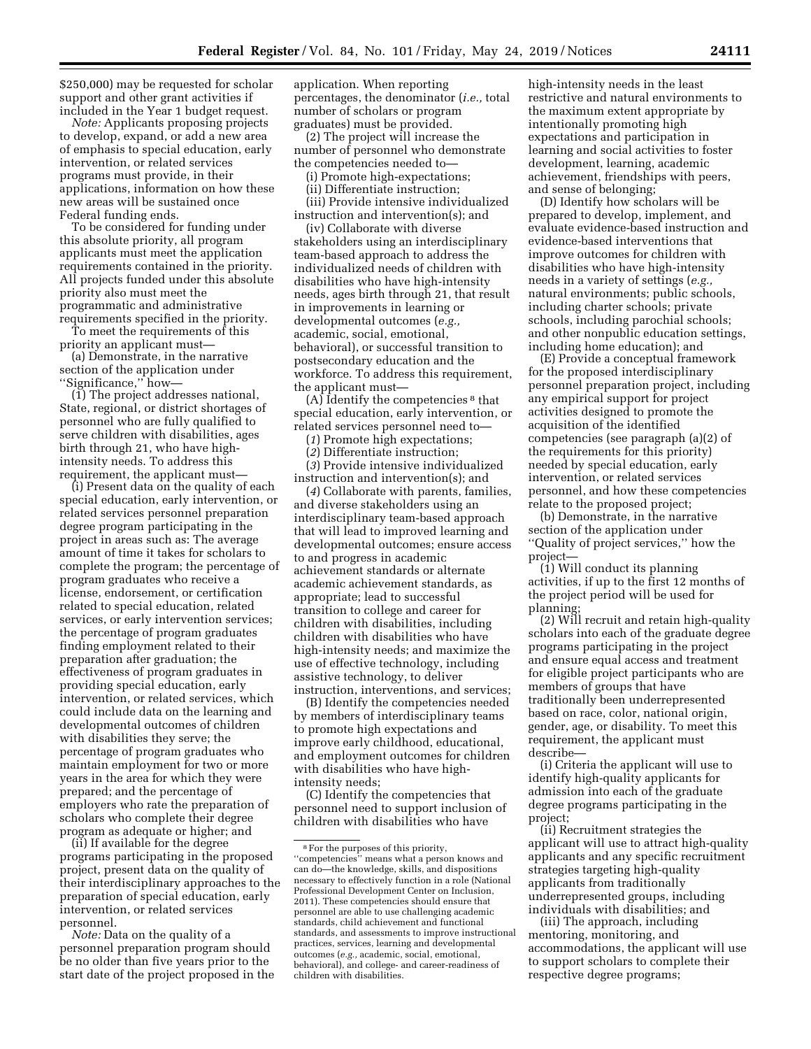\$250,000) may be requested for scholar support and other grant activities if included in the Year 1 budget request.

*Note:* Applicants proposing projects to develop, expand, or add a new area of emphasis to special education, early intervention, or related services programs must provide, in their applications, information on how these new areas will be sustained once Federal funding ends.

To be considered for funding under this absolute priority, all program applicants must meet the application requirements contained in the priority. All projects funded under this absolute priority also must meet the programmatic and administrative requirements specified in the priority.

To meet the requirements of this priority an applicant must—

(a) Demonstrate, in the narrative section of the application under ''Significance,'' how—

(1) The project addresses national, State, regional, or district shortages of personnel who are fully qualified to serve children with disabilities, ages birth through 21, who have highintensity needs. To address this requirement, the applicant must—

(i) Present data on the quality of each special education, early intervention, or related services personnel preparation degree program participating in the project in areas such as: The average amount of time it takes for scholars to complete the program; the percentage of program graduates who receive a license, endorsement, or certification related to special education, related services, or early intervention services; the percentage of program graduates finding employment related to their preparation after graduation; the effectiveness of program graduates in providing special education, early intervention, or related services, which could include data on the learning and developmental outcomes of children with disabilities they serve; the percentage of program graduates who maintain employment for two or more years in the area for which they were prepared; and the percentage of employers who rate the preparation of scholars who complete their degree program as adequate or higher; and

(ii) If available for the degree programs participating in the proposed project, present data on the quality of their interdisciplinary approaches to the preparation of special education, early intervention, or related services personnel.

*Note:* Data on the quality of a personnel preparation program should be no older than five years prior to the start date of the project proposed in the

application. When reporting percentages, the denominator (*i.e.,* total number of scholars or program graduates) must be provided.

(2) The project will increase the number of personnel who demonstrate the competencies needed to—

(i) Promote high-expectations;

(ii) Differentiate instruction;

(iii) Provide intensive individualized instruction and intervention(s); and

(iv) Collaborate with diverse stakeholders using an interdisciplinary team-based approach to address the individualized needs of children with disabilities who have high-intensity needs, ages birth through 21, that result in improvements in learning or developmental outcomes (*e.g.,*  academic, social, emotional, behavioral), or successful transition to postsecondary education and the workforce. To address this requirement, the applicant must—

(A) Identify the competencies 8 that special education, early intervention, or related services personnel need to—

(*1*) Promote high expectations;

(*2*) Differentiate instruction;

(*3*) Provide intensive individualized instruction and intervention(s); and

(*4*) Collaborate with parents, families, and diverse stakeholders using an interdisciplinary team-based approach that will lead to improved learning and developmental outcomes; ensure access to and progress in academic achievement standards or alternate academic achievement standards, as appropriate; lead to successful transition to college and career for children with disabilities, including children with disabilities who have high-intensity needs; and maximize the use of effective technology, including assistive technology, to deliver instruction, interventions, and services;

(B) Identify the competencies needed by members of interdisciplinary teams to promote high expectations and improve early childhood, educational, and employment outcomes for children with disabilities who have highintensity needs;

(C) Identify the competencies that personnel need to support inclusion of children with disabilities who have

high-intensity needs in the least restrictive and natural environments to the maximum extent appropriate by intentionally promoting high expectations and participation in learning and social activities to foster development, learning, academic achievement, friendships with peers, and sense of belonging;

(D) Identify how scholars will be prepared to develop, implement, and evaluate evidence-based instruction and evidence-based interventions that improve outcomes for children with disabilities who have high-intensity needs in a variety of settings (*e.g.,*  natural environments; public schools, including charter schools; private schools, including parochial schools; and other nonpublic education settings, including home education); and

(E) Provide a conceptual framework for the proposed interdisciplinary personnel preparation project, including any empirical support for project activities designed to promote the acquisition of the identified competencies (see paragraph (a)(2) of the requirements for this priority) needed by special education, early intervention, or related services personnel, and how these competencies relate to the proposed project;

(b) Demonstrate, in the narrative section of the application under ''Quality of project services,'' how the project—

(1) Will conduct its planning activities, if up to the first 12 months of the project period will be used for planning;

(2) Will recruit and retain high-quality scholars into each of the graduate degree programs participating in the project and ensure equal access and treatment for eligible project participants who are members of groups that have traditionally been underrepresented based on race, color, national origin, gender, age, or disability. To meet this requirement, the applicant must describe—

(i) Criteria the applicant will use to identify high-quality applicants for admission into each of the graduate degree programs participating in the project;

(ii) Recruitment strategies the applicant will use to attract high-quality applicants and any specific recruitment strategies targeting high-quality applicants from traditionally underrepresented groups, including individuals with disabilities; and

(iii) The approach, including mentoring, monitoring, and accommodations, the applicant will use to support scholars to complete their respective degree programs;

<sup>8</sup>For the purposes of this priority, ''competencies'' means what a person knows and can do—the knowledge, skills, and dispositions necessary to effectively function in a role (National Professional Development Center on Inclusion, 2011). These competencies should ensure that personnel are able to use challenging academic standards, child achievement and functional standards, and assessments to improve instructional practices, services, learning and developmental outcomes (*e.g.,* academic, social, emotional, behavioral), and college- and career-readiness of children with disabilities.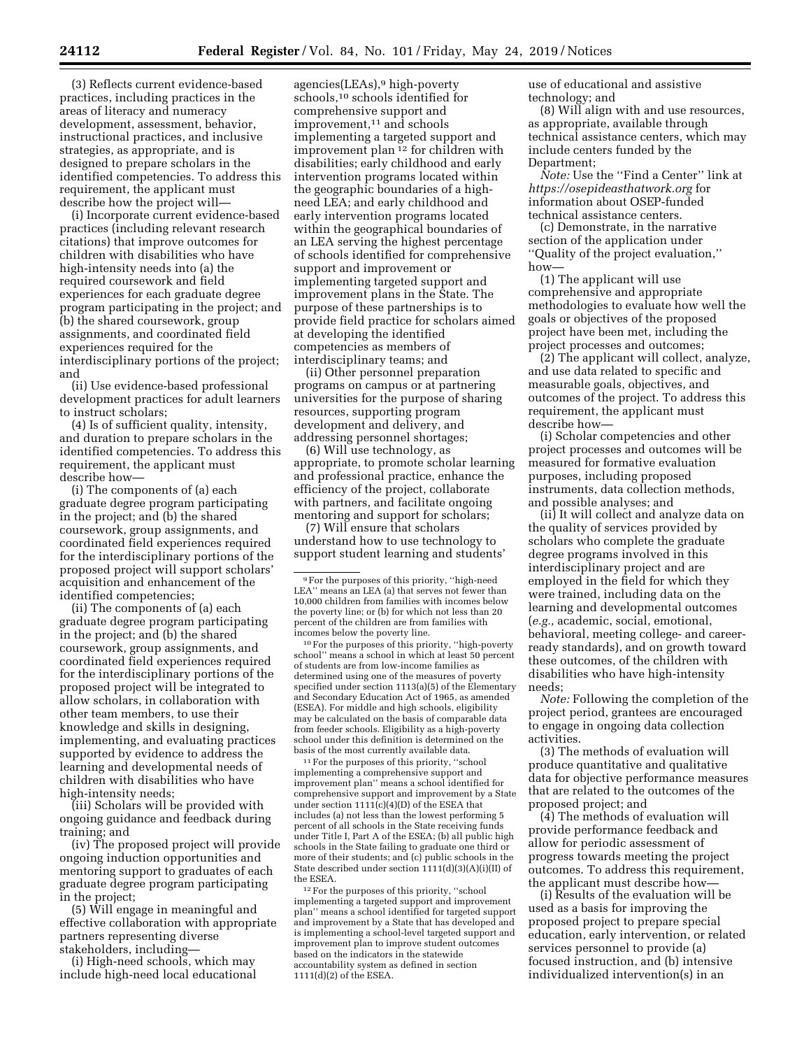(3) Reflects current evidence-based practices, including practices in the areas of literacy and numeracy development, assessment, behavior, instructional practices, and inclusive strategies, as appropriate, and is designed to prepare scholars in the identified competencies. To address this requirement, the applicant must describe how the project will—

(i) Incorporate current evidence-based practices (including relevant research citations) that improve outcomes for children with disabilities who have high-intensity needs into (a) the required coursework and field experiences for each graduate degree program participating in the project; and (b) the shared coursework, group assignments, and coordinated field experiences required for the interdisciplinary portions of the project; and

(ii) Use evidence-based professional development practices for adult learners to instruct scholars;

(4) Is of sufficient quality, intensity, and duration to prepare scholars in the identified competencies. To address this requirement, the applicant must describe how—

(i) The components of (a) each graduate degree program participating in the project; and (b) the shared coursework, group assignments, and coordinated field experiences required for the interdisciplinary portions of the proposed project will support scholars' acquisition and enhancement of the identified competencies;

(ii) The components of (a) each graduate degree program participating in the project; and (b) the shared coursework, group assignments, and coordinated field experiences required for the interdisciplinary portions of the proposed project will be integrated to allow scholars, in collaboration with other team members, to use their knowledge and skills in designing, implementing, and evaluating practices supported by evidence to address the learning and developmental needs of children with disabilities who have high-intensity needs;

(iii) Scholars will be provided with ongoing guidance and feedback during training; and

(iv) The proposed project will provide ongoing induction opportunities and mentoring support to graduates of each graduate degree program participating in the project;

(5) Will engage in meaningful and effective collaboration with appropriate partners representing diverse stakeholders, including—

(i) High-need schools, which may include high-need local educational

agencies(LEAs),9 high-poverty schools,10 schools identified for comprehensive support and improvement,<sup>11</sup> and schools implementing a targeted support and improvement plan<sup>12</sup> for children with disabilities; early childhood and early intervention programs located within the geographic boundaries of a highneed LEA; and early childhood and early intervention programs located within the geographical boundaries of an LEA serving the highest percentage of schools identified for comprehensive support and improvement or implementing targeted support and improvement plans in the State. The purpose of these partnerships is to provide field practice for scholars aimed at developing the identified competencies as members of interdisciplinary teams; and

(ii) Other personnel preparation programs on campus or at partnering universities for the purpose of sharing resources, supporting program development and delivery, and addressing personnel shortages;

(6) Will use technology, as appropriate, to promote scholar learning and professional practice, enhance the efficiency of the project, collaborate with partners, and facilitate ongoing mentoring and support for scholars;

(7) Will ensure that scholars understand how to use technology to support student learning and students'

10For the purposes of this priority, ''high-poverty school'' means a school in which at least 50 percent of students are from low-income families as determined using one of the measures of poverty specified under section 1113(a)(5) of the Elementary and Secondary Education Act of 1965, as amended (ESEA). For middle and high schools, eligibility may be calculated on the basis of comparable data from feeder schools. Eligibility as a high-poverty school under this definition is determined on the basis of the most currently available data.

11For the purposes of this priority, ''school implementing a comprehensive support and improvement plan'' means a school identified for comprehensive support and improvement by a State under section  $111(1)(c)(4)(D)$  of the ESEA that includes (a) not less than the lowest performing 5 percent of all schools in the State receiving funds under Title I, Part A of the ESEA; (b) all public high schools in the State failing to graduate one third or more of their students; and (c) public schools in the State described under section 1111(d)(3)(A)(i)(II) of the ESEA.

12For the purposes of this priority, ''school implementing a targeted support and improvement plan'' means a school identified for targeted support and improvement by a State that has developed and is implementing a school-level targeted support and improvement plan to improve student outcomes based on the indicators in the statewide accountability system as defined in section 1111(d)(2) of the ESEA.

use of educational and assistive technology; and

(8) Will align with and use resources, as appropriate, available through technical assistance centers, which may include centers funded by the Department;

*Note:* Use the ''Find a Center'' link at *<https://osepideasthatwork.org>*for information about OSEP-funded technical assistance centers.

(c) Demonstrate, in the narrative section of the application under ''Quality of the project evaluation,'' how—

(1) The applicant will use comprehensive and appropriate methodologies to evaluate how well the goals or objectives of the proposed project have been met, including the project processes and outcomes;

(2) The applicant will collect, analyze, and use data related to specific and measurable goals, objectives, and outcomes of the project. To address this requirement, the applicant must describe how—

(i) Scholar competencies and other project processes and outcomes will be measured for formative evaluation purposes, including proposed instruments, data collection methods, and possible analyses; and

(ii) It will collect and analyze data on the quality of services provided by scholars who complete the graduate degree programs involved in this interdisciplinary project and are employed in the field for which they were trained, including data on the learning and developmental outcomes (*e.g.,* academic, social, emotional, behavioral, meeting college- and careerready standards), and on growth toward these outcomes, of the children with disabilities who have high-intensity needs;

*Note:* Following the completion of the project period, grantees are encouraged to engage in ongoing data collection activities.

(3) The methods of evaluation will produce quantitative and qualitative data for objective performance measures that are related to the outcomes of the proposed project; and

(4) The methods of evaluation will provide performance feedback and allow for periodic assessment of progress towards meeting the project outcomes. To address this requirement, the applicant must describe how—

(i) Results of the evaluation will be used as a basis for improving the proposed project to prepare special education, early intervention, or related services personnel to provide (a) focused instruction, and (b) intensive individualized intervention(s) in an

<sup>9</sup>For the purposes of this priority, ''high-need LEA" means an LEA (a) that serves not fewer than 10,000 children from families with incomes below the poverty line; or (b) for which not less than 20 percent of the children are from families with incomes below the poverty line.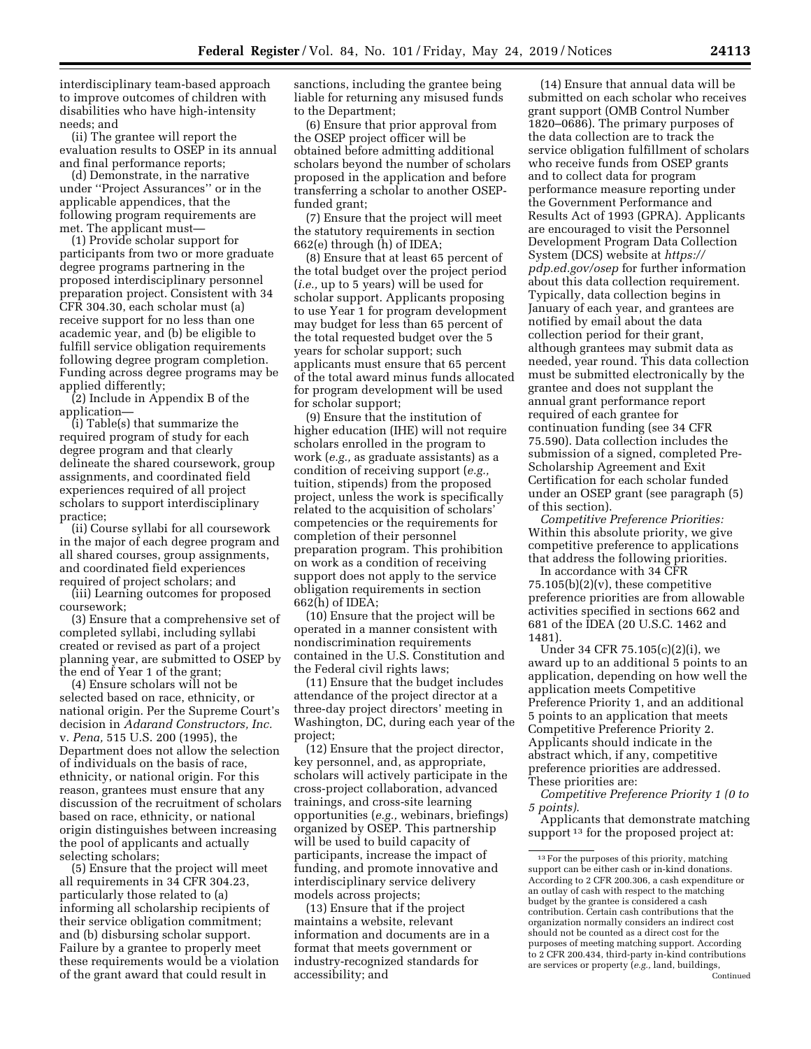interdisciplinary team-based approach to improve outcomes of children with disabilities who have high-intensity needs; and

(ii) The grantee will report the evaluation results to OSEP in its annual and final performance reports;

(d) Demonstrate, in the narrative under ''Project Assurances'' or in the applicable appendices, that the following program requirements are met. The applicant must—

(1) Provide scholar support for participants from two or more graduate degree programs partnering in the proposed interdisciplinary personnel preparation project. Consistent with 34 CFR 304.30, each scholar must (a) receive support for no less than one academic year, and (b) be eligible to fulfill service obligation requirements following degree program completion. Funding across degree programs may be applied differently;

(2) Include in Appendix B of the application—

(i) Table(s) that summarize the required program of study for each degree program and that clearly delineate the shared coursework, group assignments, and coordinated field experiences required of all project scholars to support interdisciplinary practice;

(ii) Course syllabi for all coursework in the major of each degree program and all shared courses, group assignments, and coordinated field experiences required of project scholars; and

(iii) Learning outcomes for proposed coursework;

(3) Ensure that a comprehensive set of completed syllabi, including syllabi created or revised as part of a project planning year, are submitted to OSEP by the end of Year 1 of the grant;

(4) Ensure scholars will not be selected based on race, ethnicity, or national origin. Per the Supreme Court's decision in *Adarand Constructors, Inc.*  v. *Pena,* 515 U.S. 200 (1995), the Department does not allow the selection of individuals on the basis of race, ethnicity, or national origin. For this reason, grantees must ensure that any discussion of the recruitment of scholars based on race, ethnicity, or national origin distinguishes between increasing the pool of applicants and actually selecting scholars;

(5) Ensure that the project will meet all requirements in 34 CFR 304.23, particularly those related to (a) informing all scholarship recipients of their service obligation commitment; and (b) disbursing scholar support. Failure by a grantee to properly meet these requirements would be a violation of the grant award that could result in

sanctions, including the grantee being liable for returning any misused funds to the Department;

(6) Ensure that prior approval from the OSEP project officer will be obtained before admitting additional scholars beyond the number of scholars proposed in the application and before transferring a scholar to another OSEPfunded grant;

(7) Ensure that the project will meet the statutory requirements in section 662(e) through (h) of IDEA;

(8) Ensure that at least 65 percent of the total budget over the project period (*i.e.,* up to 5 years) will be used for scholar support. Applicants proposing to use Year 1 for program development may budget for less than 65 percent of the total requested budget over the 5 years for scholar support; such applicants must ensure that 65 percent of the total award minus funds allocated for program development will be used for scholar support;

(9) Ensure that the institution of higher education (IHE) will not require scholars enrolled in the program to work (*e.g.,* as graduate assistants) as a condition of receiving support (*e.g.,*  tuition, stipends) from the proposed project, unless the work is specifically related to the acquisition of scholars' competencies or the requirements for completion of their personnel preparation program. This prohibition on work as a condition of receiving support does not apply to the service obligation requirements in section 662(h) of IDEA;

(10) Ensure that the project will be operated in a manner consistent with nondiscrimination requirements contained in the U.S. Constitution and the Federal civil rights laws;

(11) Ensure that the budget includes attendance of the project director at a three-day project directors' meeting in Washington, DC, during each year of the project;

(12) Ensure that the project director, key personnel, and, as appropriate, scholars will actively participate in the cross-project collaboration, advanced trainings, and cross-site learning opportunities (*e.g.,* webinars, briefings) organized by OSEP. This partnership will be used to build capacity of participants, increase the impact of funding, and promote innovative and interdisciplinary service delivery models across projects;

(13) Ensure that if the project maintains a website, relevant information and documents are in a format that meets government or industry-recognized standards for accessibility; and

(14) Ensure that annual data will be submitted on each scholar who receives grant support (OMB Control Number 1820–0686). The primary purposes of the data collection are to track the service obligation fulfillment of scholars who receive funds from OSEP grants and to collect data for program performance measure reporting under the Government Performance and Results Act of 1993 (GPRA). Applicants are encouraged to visit the Personnel Development Program Data Collection System (DCS) website at *[https://](https://pdp.ed.gov/osep) [pdp.ed.gov/osep](https://pdp.ed.gov/osep)* for further information about this data collection requirement. Typically, data collection begins in January of each year, and grantees are notified by email about the data collection period for their grant, although grantees may submit data as needed, year round. This data collection must be submitted electronically by the grantee and does not supplant the annual grant performance report required of each grantee for continuation funding (see 34 CFR 75.590). Data collection includes the submission of a signed, completed Pre-Scholarship Agreement and Exit Certification for each scholar funded under an OSEP grant (see paragraph (5) of this section).

*Competitive Preference Priorities:*  Within this absolute priority, we give competitive preference to applications that address the following priorities.

In accordance with 34 CFR  $75.105(b)(2)(v)$ , these competitive preference priorities are from allowable activities specified in sections 662 and 681 of the IDEA (20 U.S.C. 1462 and 1481).

Under 34 CFR 75.105(c)(2)(i), we award up to an additional 5 points to an application, depending on how well the application meets Competitive Preference Priority 1, and an additional 5 points to an application that meets Competitive Preference Priority 2. Applicants should indicate in the abstract which, if any, competitive preference priorities are addressed. These priorities are:

*Competitive Preference Priority 1 (0 to 5 points)*.

Applicants that demonstrate matching support<sup>13</sup> for the proposed project at:

 $^{\rm 13}\,$  For the purposes of this priority, matching support can be either cash or in-kind donations. According to 2 CFR 200.306, a cash expenditure or an outlay of cash with respect to the matching budget by the grantee is considered a cash contribution. Certain cash contributions that the organization normally considers an indirect cost should not be counted as a direct cost for the purposes of meeting matching support. According to 2 CFR 200.434, third-party in-kind contributions are services or property (*e.g.,* land, buildings, Continued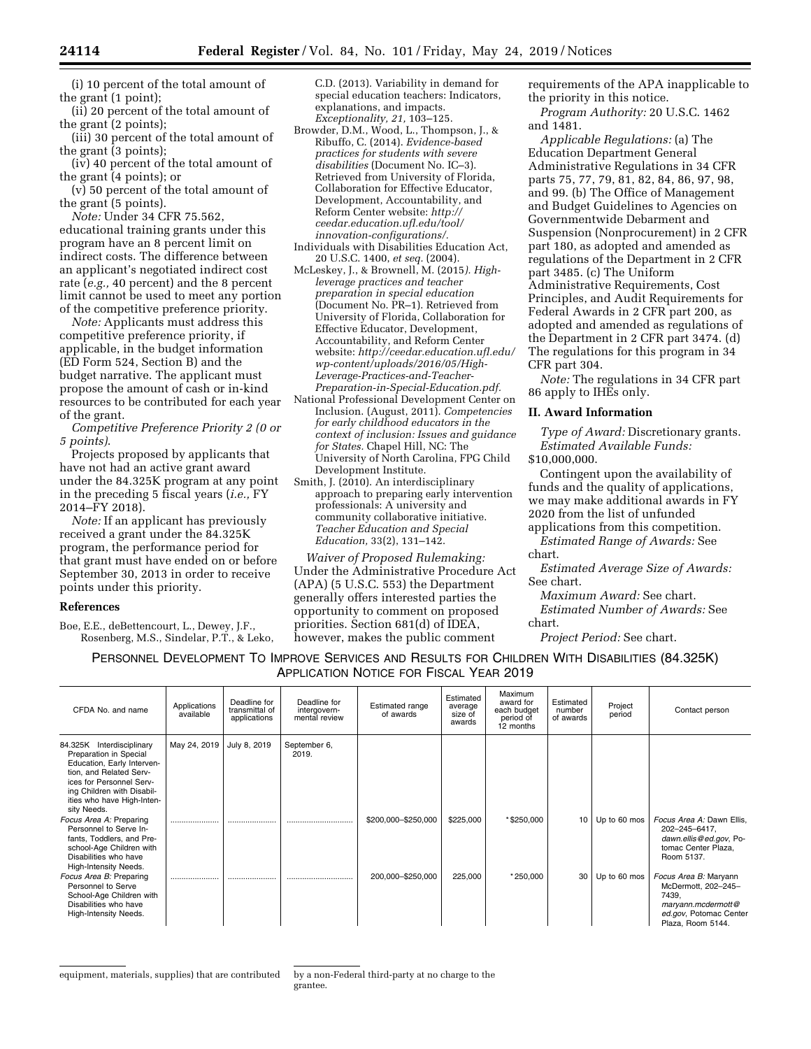(i) 10 percent of the total amount of the grant (1 point);

(ii) 20 percent of the total amount of the grant (2 points);

(iii) 30 percent of the total amount of the grant (3 points);

(iv) 40 percent of the total amount of the grant (4 points); or

(v) 50 percent of the total amount of the grant (5 points).

*Note:* Under 34 CFR 75.562, educational training grants under this program have an 8 percent limit on indirect costs. The difference between an applicant's negotiated indirect cost rate (*e.g.,* 40 percent) and the 8 percent limit cannot be used to meet any portion of the competitive preference priority.

*Note:* Applicants must address this competitive preference priority, if applicable, in the budget information (ED Form 524, Section B) and the budget narrative. The applicant must propose the amount of cash or in-kind resources to be contributed for each year of the grant.

*Competitive Preference Priority 2 (0 or 5 points)*.

Projects proposed by applicants that have not had an active grant award under the 84.325K program at any point in the preceding 5 fiscal years (*i.e.,* FY 2014–FY 2018).

*Note:* If an applicant has previously received a grant under the 84.325K program, the performance period for that grant must have ended on or before September 30, 2013 in order to receive points under this priority.

#### **References**

Boe, E.E., deBettencourt, L., Dewey, J.F., Rosenberg, M.S., Sindelar, P.T., & Leko, C.D. (2013). Variability in demand for special education teachers: Indicators, explanations, and impacts. *Exceptionality, 21,* 103–125.

- Browder, D.M., Wood, L., Thompson, J., & Ribuffo, C. (2014). *Evidence-based practices for students with severe disabilities* (Document No. IC–3). Retrieved from University of Florida, Collaboration for Effective Educator, Development, Accountability, and Reform Center website: *[http://](http://ceedar.education.ufl.edu/tool/innovation-configurations/) [ceedar.education.ufl.edu/tool/](http://ceedar.education.ufl.edu/tool/innovation-configurations/) [innovation-configurations/.](http://ceedar.education.ufl.edu/tool/innovation-configurations/)*
- Individuals with Disabilities Education Act, 20 U.S.C. 1400, *et seq.* (2004).
- McLeskey, J., & Brownell, M. (2015*). Highleverage practices and teacher preparation in special education*  (Document No. PR–1). Retrieved from University of Florida, Collaboration for Effective Educator, Development, Accountability, and Reform Center website: *[http://ceedar.education.ufl.edu/](http://ceedar.education.ufl.edu/wp-content/uploads/2016/05/High-Leverage-Practices-and-Teacher-Preparation-in-Special-Education.pdf)  [wp-content/uploads/2016/05/High-](http://ceedar.education.ufl.edu/wp-content/uploads/2016/05/High-Leverage-Practices-and-Teacher-Preparation-in-Special-Education.pdf)[Leverage-Practices-and-Teacher-](http://ceedar.education.ufl.edu/wp-content/uploads/2016/05/High-Leverage-Practices-and-Teacher-Preparation-in-Special-Education.pdf)[Preparation-in-Special-Education.pdf.](http://ceedar.education.ufl.edu/wp-content/uploads/2016/05/High-Leverage-Practices-and-Teacher-Preparation-in-Special-Education.pdf)*
- National Professional Development Center on Inclusion. (August, 2011). *Competencies for early childhood educators in the context of inclusion: Issues and guidance for States.* Chapel Hill, NC: The University of North Carolina, FPG Child Development Institute.
- Smith, J. (2010). An interdisciplinary approach to preparing early intervention professionals: A university and community collaborative initiative. *Teacher Education and Special Education,* 33(2), 131–142.

*Waiver of Proposed Rulemaking:*  Under the Administrative Procedure Act (APA) (5 U.S.C. 553) the Department generally offers interested parties the opportunity to comment on proposed priorities. Section 681(d) of IDEA, however, makes the public comment

requirements of the APA inapplicable to the priority in this notice.

*Program Authority:* 20 U.S.C. 1462 and 1481.

*Applicable Regulations:* (a) The Education Department General Administrative Regulations in 34 CFR parts 75, 77, 79, 81, 82, 84, 86, 97, 98, and 99. (b) The Office of Management and Budget Guidelines to Agencies on Governmentwide Debarment and Suspension (Nonprocurement) in 2 CFR part 180, as adopted and amended as regulations of the Department in 2 CFR part 3485. (c) The Uniform Administrative Requirements, Cost Principles, and Audit Requirements for Federal Awards in 2 CFR part 200, as adopted and amended as regulations of the Department in 2 CFR part 3474. (d) The regulations for this program in 34 CFR part 304.

*Note:* The regulations in 34 CFR part 86 apply to IHEs only.

#### **II. Award Information**

*Type of Award:* Discretionary grants. *Estimated Available Funds:*  \$10,000,000.

Contingent upon the availability of funds and the quality of applications, we may make additional awards in FY 2020 from the list of unfunded

applications from this competition. *Estimated Range of Awards:* See chart.

*Estimated Average Size of Awards:*  See chart.

*Maximum Award:* See chart. *Estimated Number of Awards:* See

chart.

*Project Period:* See chart.

PERSONNEL DEVELOPMENT TO IMPROVE SERVICES AND RESULTS FOR CHILDREN WITH DISABILITIES (84.325K) APPLICATION NOTICE FOR FISCAL YEAR 2019

| CFDA No. and name                                                                                                                                                                                                   | Applications<br>available | Deadline for<br>transmittal of<br>applications | Deadline for<br>intergovern-<br>mental review | Estimated range<br>of awards | Estimated<br>average<br>size of<br>awards | Maximum<br>award for<br>each budget<br>period of<br>12 months | Estimated<br>number<br>of awards | Project<br>period | Contact person                                                                                                             |
|---------------------------------------------------------------------------------------------------------------------------------------------------------------------------------------------------------------------|---------------------------|------------------------------------------------|-----------------------------------------------|------------------------------|-------------------------------------------|---------------------------------------------------------------|----------------------------------|-------------------|----------------------------------------------------------------------------------------------------------------------------|
| 84.325K Interdisciplinary<br>Preparation in Special<br>Education, Early Interven-<br>tion, and Related Serv-<br>ices for Personnel Serv-<br>ing Children with Disabil-<br>ities who have High-Inten-<br>sity Needs. | May 24, 2019              | July 8, 2019                                   | September 6,<br>2019.                         |                              |                                           |                                                               |                                  |                   |                                                                                                                            |
| Focus Area A: Preparing<br>Personnel to Serve In-<br>fants, Toddlers, and Pre-<br>school-Age Children with<br>Disabilities who have<br>High-Intensity Needs.                                                        |                           |                                                |                                               | \$200,000-\$250,000          | \$225,000                                 | *\$250,000                                                    | 10                               | Up to 60 mos      | Focus Area A: Dawn Ellis,<br>202-245-6417,<br>dawn.ellis@ed.gov, Po-<br>tomac Center Plaza,<br>Room 5137.                  |
| Focus Area B: Preparing<br>Personnel to Serve<br>School-Age Children with<br>Disabilities who have<br>High-Intensity Needs.                                                                                         |                           |                                                |                                               | 200,000-\$250,000            | 225,000                                   | $*250,000$                                                    | 30                               | Up to 60 mos      | Focus Area B: Maryann<br>McDermott, 202-245-<br>7439.<br>maryann.mcdermott@<br>ed.gov, Potomac Center<br>Plaza, Room 5144. |

grantee.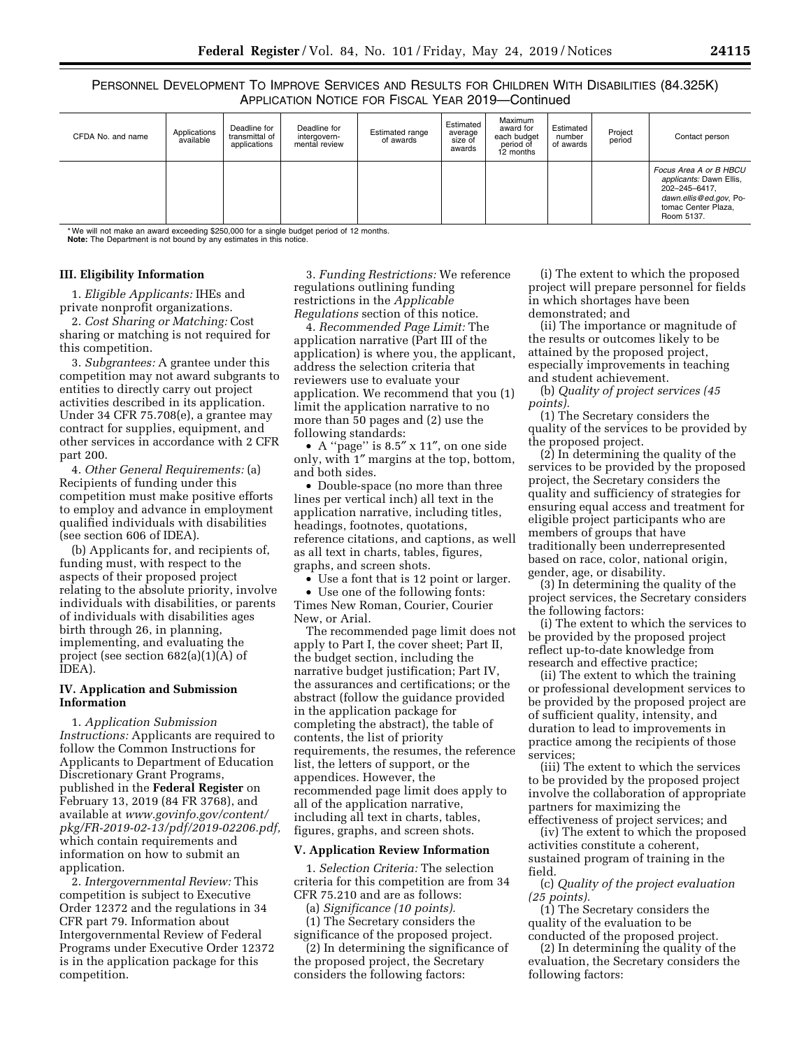PERSONNEL DEVELOPMENT TO IMPROVE SERVICES AND RESULTS FOR CHILDREN WITH DISABILITIES (84.325K) APPLICATION NOTICE FOR FISCAL YEAR 2019—Continued

| CFDA No. and name | Applications<br>available | Deadline for<br>transmittal of<br>applications | Deadline for<br>intergovern-<br>mental review | Estimated range<br>of awards | Estimated<br>average<br>size of<br>awards | Maximum<br>award for<br>each budget<br>period of<br>12 months | Estimated<br>number<br>of awards | Project<br>period | Contact person                                                                                                                    |
|-------------------|---------------------------|------------------------------------------------|-----------------------------------------------|------------------------------|-------------------------------------------|---------------------------------------------------------------|----------------------------------|-------------------|-----------------------------------------------------------------------------------------------------------------------------------|
|                   |                           |                                                |                                               |                              |                                           |                                                               |                                  |                   | Focus Area A or B HBCU<br>applicants: Dawn Ellis,<br>202-245-6417,<br>dawn.ellis@ed.gov, Po-<br>tomac Center Plaza,<br>Room 5137. |

\* We will not make an award exceeding \$250,000 for a single budget period of 12 months. **Note:** The Department is not bound by any estimates in this notice.

#### **III. Eligibility Information**

1. *Eligible Applicants:* IHEs and private nonprofit organizations.

2. *Cost Sharing or Matching:* Cost sharing or matching is not required for this competition.

3. *Subgrantees:* A grantee under this competition may not award subgrants to entities to directly carry out project activities described in its application. Under 34 CFR 75.708(e), a grantee may contract for supplies, equipment, and other services in accordance with 2 CFR part 200.

4. *Other General Requirements:* (a) Recipients of funding under this competition must make positive efforts to employ and advance in employment qualified individuals with disabilities (see section 606 of IDEA).

(b) Applicants for, and recipients of, funding must, with respect to the aspects of their proposed project relating to the absolute priority, involve individuals with disabilities, or parents of individuals with disabilities ages birth through 26, in planning, implementing, and evaluating the project (see section 682(a)(1)(A) of IDEA).

#### **IV. Application and Submission Information**

1. *Application Submission Instructions:* Applicants are required to follow the Common Instructions for Applicants to Department of Education Discretionary Grant Programs, published in the **Federal Register** on February 13, 2019 (84 FR 3768), and available at *[www.govinfo.gov/content/](http://www.govinfo.gov/content/pkg/FR-2019-02-13/pdf/2019-02206.pdf)  [pkg/FR-2019-02-13/pdf/2019-02206.pdf,](http://www.govinfo.gov/content/pkg/FR-2019-02-13/pdf/2019-02206.pdf)*  which contain requirements and information on how to submit an application.

2. *Intergovernmental Review:* This competition is subject to Executive Order 12372 and the regulations in 34 CFR part 79. Information about Intergovernmental Review of Federal Programs under Executive Order 12372 is in the application package for this competition.

3. *Funding Restrictions:* We reference regulations outlining funding restrictions in the *Applicable Regulations* section of this notice.

4. *Recommended Page Limit:* The application narrative (Part III of the application) is where you, the applicant, address the selection criteria that reviewers use to evaluate your application. We recommend that you (1) limit the application narrative to no more than 50 pages and (2) use the following standards:

• A ''page'' is 8.5″ x 11″, on one side only, with 1″ margins at the top, bottom, and both sides.

• Double-space (no more than three lines per vertical inch) all text in the application narrative, including titles, headings, footnotes, quotations, reference citations, and captions, as well as all text in charts, tables, figures, graphs, and screen shots.

• Use a font that is 12 point or larger. • Use one of the following fonts: Times New Roman, Courier, Courier

New, or Arial. The recommended page limit does not apply to Part I, the cover sheet; Part II, the budget section, including the

narrative budget justification; Part IV, the assurances and certifications; or the abstract (follow the guidance provided in the application package for completing the abstract), the table of contents, the list of priority requirements, the resumes, the reference list, the letters of support, or the appendices. However, the recommended page limit does apply to all of the application narrative, including all text in charts, tables, figures, graphs, and screen shots.

#### **V. Application Review Information**

1. *Selection Criteria:* The selection criteria for this competition are from 34 CFR 75.210 and are as follows:

(a) *Significance (10 points).* 

(1) The Secretary considers the significance of the proposed project.

(2) In determining the significance of the proposed project, the Secretary considers the following factors:

(i) The extent to which the proposed project will prepare personnel for fields in which shortages have been demonstrated; and

(ii) The importance or magnitude of the results or outcomes likely to be attained by the proposed project, especially improvements in teaching and student achievement.

(b) *Quality of project services (45 points).* 

(1) The Secretary considers the quality of the services to be provided by the proposed project.

(2) In determining the quality of the services to be provided by the proposed project, the Secretary considers the quality and sufficiency of strategies for ensuring equal access and treatment for eligible project participants who are members of groups that have traditionally been underrepresented based on race, color, national origin, gender, age, or disability.

(3) In determining the quality of the project services, the Secretary considers the following factors:

(i) The extent to which the services to be provided by the proposed project reflect up-to-date knowledge from research and effective practice;

(ii) The extent to which the training or professional development services to be provided by the proposed project are of sufficient quality, intensity, and duration to lead to improvements in practice among the recipients of those services;

(iii) The extent to which the services to be provided by the proposed project involve the collaboration of appropriate partners for maximizing the effectiveness of project services; and

(iv) The extent to which the proposed activities constitute a coherent, sustained program of training in the field.

(c) *Quality of the project evaluation (25 points).* 

(1) The Secretary considers the quality of the evaluation to be conducted of the proposed project.

(2) In determining the quality of the evaluation, the Secretary considers the following factors: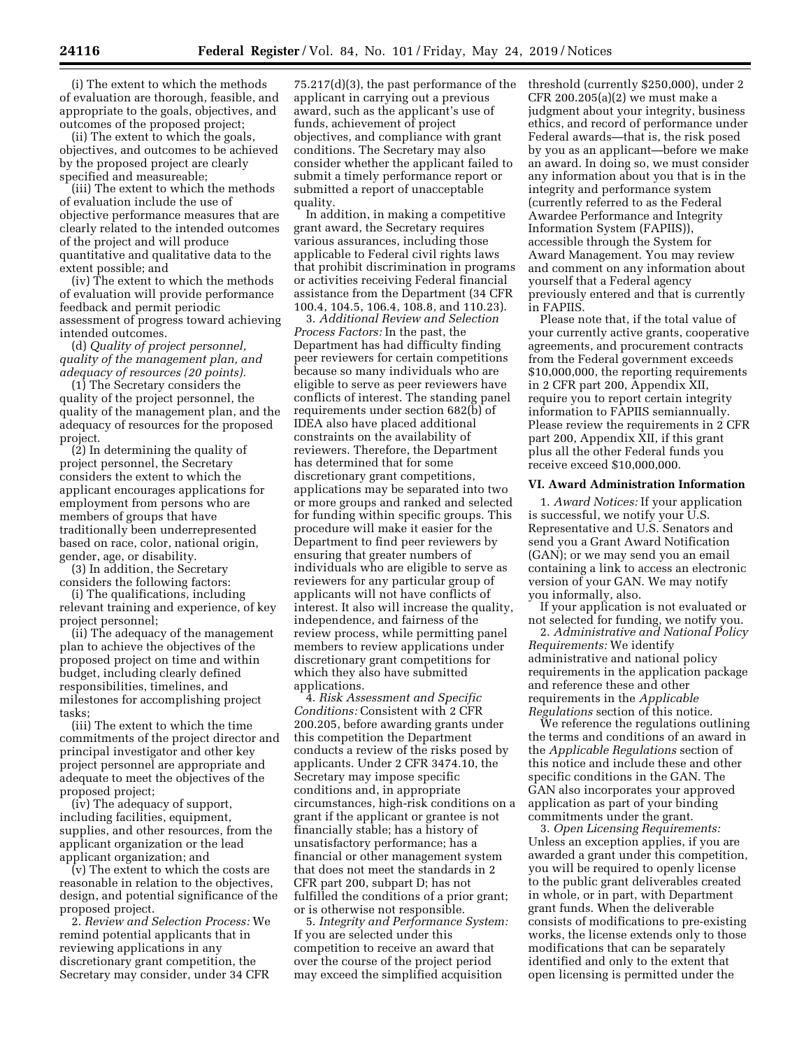(i) The extent to which the methods of evaluation are thorough, feasible, and appropriate to the goals, objectives, and outcomes of the proposed project;

(ii) The extent to which the goals, objectives, and outcomes to be achieved by the proposed project are clearly specified and measureable;

(iii) The extent to which the methods of evaluation include the use of objective performance measures that are clearly related to the intended outcomes of the project and will produce quantitative and qualitative data to the extent possible; and

(iv) The extent to which the methods of evaluation will provide performance feedback and permit periodic assessment of progress toward achieving intended outcomes.

(d) *Quality of project personnel, quality of the management plan, and adequacy of resources (20 points).* 

(1) The Secretary considers the quality of the project personnel, the quality of the management plan, and the adequacy of resources for the proposed project.

(2) In determining the quality of project personnel, the Secretary considers the extent to which the applicant encourages applications for employment from persons who are members of groups that have traditionally been underrepresented based on race, color, national origin, gender, age, or disability.

(3) In addition, the Secretary considers the following factors:

(i) The qualifications, including relevant training and experience, of key project personnel;

(ii) The adequacy of the management plan to achieve the objectives of the proposed project on time and within budget, including clearly defined responsibilities, timelines, and milestones for accomplishing project tasks;

(iii) The extent to which the time commitments of the project director and principal investigator and other key project personnel are appropriate and adequate to meet the objectives of the proposed project;

(iv) The adequacy of support, including facilities, equipment, supplies, and other resources, from the applicant organization or the lead applicant organization; and

(v) The extent to which the costs are reasonable in relation to the objectives, design, and potential significance of the proposed project.

2. *Review and Selection Process:* We remind potential applicants that in reviewing applications in any discretionary grant competition, the Secretary may consider, under 34 CFR

75.217(d)(3), the past performance of the applicant in carrying out a previous award, such as the applicant's use of funds, achievement of project objectives, and compliance with grant conditions. The Secretary may also consider whether the applicant failed to submit a timely performance report or submitted a report of unacceptable quality.

In addition, in making a competitive grant award, the Secretary requires various assurances, including those applicable to Federal civil rights laws that prohibit discrimination in programs or activities receiving Federal financial assistance from the Department (34 CFR 100.4, 104.5, 106.4, 108.8, and 110.23).

3. *Additional Review and Selection Process Factors:* In the past, the Department has had difficulty finding peer reviewers for certain competitions because so many individuals who are eligible to serve as peer reviewers have conflicts of interest. The standing panel requirements under section 682(b) of IDEA also have placed additional constraints on the availability of reviewers. Therefore, the Department has determined that for some discretionary grant competitions, applications may be separated into two or more groups and ranked and selected for funding within specific groups. This procedure will make it easier for the Department to find peer reviewers by ensuring that greater numbers of individuals who are eligible to serve as reviewers for any particular group of applicants will not have conflicts of interest. It also will increase the quality, independence, and fairness of the review process, while permitting panel members to review applications under discretionary grant competitions for which they also have submitted applications.

4. *Risk Assessment and Specific Conditions:* Consistent with 2 CFR 200.205, before awarding grants under this competition the Department conducts a review of the risks posed by applicants. Under 2 CFR 3474.10, the Secretary may impose specific conditions and, in appropriate circumstances, high-risk conditions on a grant if the applicant or grantee is not financially stable; has a history of unsatisfactory performance; has a financial or other management system that does not meet the standards in 2 CFR part 200, subpart D; has not fulfilled the conditions of a prior grant; or is otherwise not responsible.

5. *Integrity and Performance System:*  If you are selected under this competition to receive an award that over the course of the project period may exceed the simplified acquisition

threshold (currently \$250,000), under 2 CFR 200.205(a)(2) we must make a judgment about your integrity, business ethics, and record of performance under Federal awards—that is, the risk posed by you as an applicant—before we make an award. In doing so, we must consider any information about you that is in the integrity and performance system (currently referred to as the Federal Awardee Performance and Integrity Information System (FAPIIS)), accessible through the System for Award Management. You may review and comment on any information about yourself that a Federal agency previously entered and that is currently in FAPIIS.

Please note that, if the total value of your currently active grants, cooperative agreements, and procurement contracts from the Federal government exceeds \$10,000,000, the reporting requirements in 2 CFR part 200, Appendix XII, require you to report certain integrity information to FAPIIS semiannually. Please review the requirements in 2 CFR part 200, Appendix XII, if this grant plus all the other Federal funds you receive exceed \$10,000,000.

#### **VI. Award Administration Information**

1. *Award Notices:* If your application is successful, we notify your U.S. Representative and U.S. Senators and send you a Grant Award Notification (GAN); or we may send you an email containing a link to access an electronic version of your GAN. We may notify you informally, also.

If your application is not evaluated or not selected for funding, we notify you.

2. *Administrative and National Policy Requirements:* We identify administrative and national policy requirements in the application package and reference these and other requirements in the *Applicable Regulations* section of this notice.

We reference the regulations outlining the terms and conditions of an award in the *Applicable Regulations* section of this notice and include these and other specific conditions in the GAN. The GAN also incorporates your approved application as part of your binding commitments under the grant.

3. *Open Licensing Requirements:*  Unless an exception applies, if you are awarded a grant under this competition, you will be required to openly license to the public grant deliverables created in whole, or in part, with Department grant funds. When the deliverable consists of modifications to pre-existing works, the license extends only to those modifications that can be separately identified and only to the extent that open licensing is permitted under the